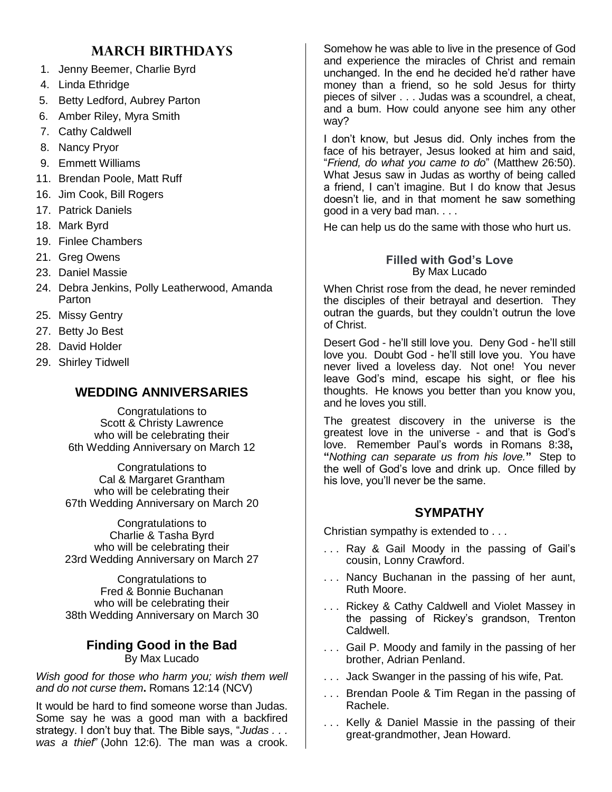# **MARCH BIRTHDAYS**

- 1. Jenny Beemer, Charlie Byrd
- 4. Linda Ethridge
- 5. Betty Ledford, Aubrey Parton
- 6. Amber Riley, Myra Smith
- 7. Cathy Caldwell
- 8. Nancy Pryor
- 9. Emmett Williams
- 11. Brendan Poole, Matt Ruff
- 16. Jim Cook, Bill Rogers
- 17. Patrick Daniels
- 18. Mark Byrd
- 19. Finlee Chambers
- 21. Greg Owens
- 23. Daniel Massie
- 24. Debra Jenkins, Polly Leatherwood, Amanda Parton
- 25. Missy Gentry
- 27. Betty Jo Best
- 28. David Holder
- 29. Shirley Tidwell

## **WEDDING ANNIVERSARIES**

Congratulations to Scott & Christy Lawrence who will be celebrating their 6th Wedding Anniversary on March 12

Congratulations to Cal & Margaret Grantham who will be celebrating their 67th Wedding Anniversary on March 20

Congratulations to Charlie & Tasha Byrd who will be celebrating their 23rd Wedding Anniversary on March 27

Congratulations to Fred & Bonnie Buchanan who will be celebrating their 38th Wedding Anniversary on March 30

# **Finding Good in the Bad**

By Max Lucado

*Wish good for those who harm you; wish them well and do not curse them***.** Romans 12:14 (NCV)

It would be hard to find someone worse than Judas. Some say he was a good man with a backfired strategy. I don't buy that. The Bible says, "*Judas . . . was a thief*" (John 12:6). The man was a crook.

Somehow he was able to live in the presence of God and experience the miracles of Christ and remain unchanged. In the end he decided he'd rather have money than a friend, so he sold Jesus for thirty pieces of silver . . . Judas was a scoundrel, a cheat, and a bum. How could anyone see him any other way?

I don't know, but Jesus did. Only inches from the face of his betrayer, Jesus looked at him and said, "*Friend, do what you came to do*" (Matthew 26:50). What Jesus saw in Judas as worthy of being called a friend, I can't imagine. But I do know that Jesus doesn't lie, and in that moment he saw something good in a very bad man. . . .

He can help us do the same with those who hurt us.

### **Filled with God's Love** By Max Lucado

When Christ rose from the dead, he never reminded the disciples of their betrayal and desertion. They outran the guards, but they couldn't outrun the love of Christ.

Desert God - he'll still love you. Deny God - he'll still love you. Doubt God - he'll still love you. You have never lived a loveless day. Not one! You never leave God's mind, escape his sight, or flee his thoughts. He knows you better than you know you, and he loves you still.

The greatest discovery in the universe is the greatest love in the universe - and that is God's love. Remember Paul's words in Romans 8:38**, "***Nothing can separate us from his love.***"** Step to the well of God's love and drink up. Once filled by his love, you'll never be the same.

## **SYMPATHY**

Christian sympathy is extended to . . .

- . . . Ray & Gail Moody in the passing of Gail's cousin, Lonny Crawford.
- . . . Nancy Buchanan in the passing of her aunt, Ruth Moore.
- . . . Rickey & Cathy Caldwell and Violet Massey in the passing of Rickey's grandson, Trenton Caldwell.
- . . . Gail P. Moody and family in the passing of her brother, Adrian Penland.
- . . . Jack Swanger in the passing of his wife, Pat.
- . . . Brendan Poole & Tim Regan in the passing of Rachele.
- . . . Kelly & Daniel Massie in the passing of their great-grandmother, Jean Howard.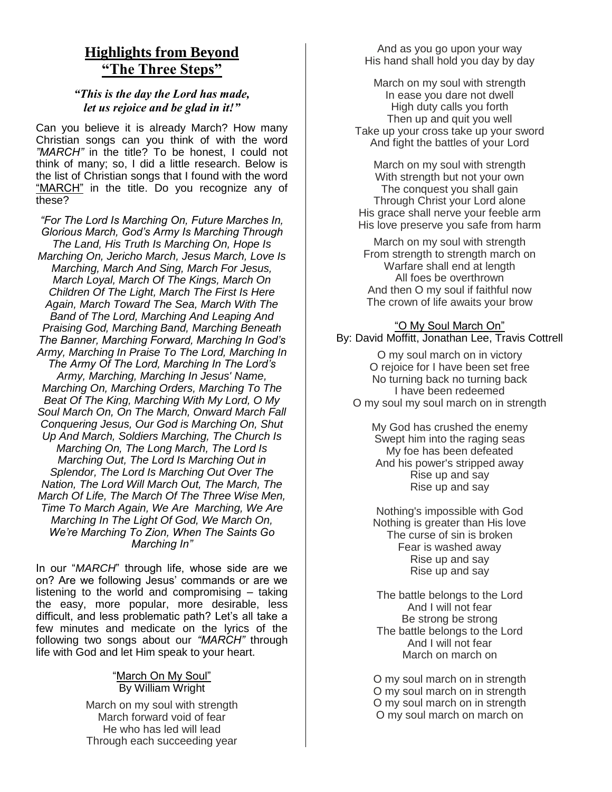# **Highlights from Beyond "The Three Steps"**

## *"This is the day the Lord has made, let us rejoice and be glad in it!"*

Can you believe it is already March? How many Christian songs can you think of with the word *"MARCH"* in the title? To be honest, I could not think of many; so, I did a little research. Below is the list of Christian songs that I found with the word "MARCH" in the title. Do you recognize any of these?

*"For The Lord Is Marching On, Future Marches In, Glorious March, God's Army Is Marching Through The Land, His Truth Is Marching On, Hope Is Marching On, Jericho March, Jesus March, Love Is Marching, March And Sing, March For Jesus, March Loyal, March Of The Kings, March On Children Of The Light, March The First Is Here Again, March Toward The Sea, March With The Band of The Lord, Marching And Leaping And Praising God, Marching Band, Marching Beneath The Banner, Marching Forward, Marching In God's Army, Marching In Praise To The Lord, Marching In The Army Of The Lord, Marching In The Lord's Army, Marching, Marching In Jesus' Name, Marching On, Marching Orders, Marching To The Beat Of The King, Marching With My Lord, O My Soul March On, On The March, Onward March Fall Conquering Jesus, Our God is Marching On, Shut Up And March, Soldiers Marching, The Church Is Marching On, The Long March, The Lord Is Marching Out, The Lord Is Marching Out in Splendor, The Lord Is Marching Out Over The Nation, The Lord Will March Out, The March, The March Of Life, The March Of The Three Wise Men, Time To March Again, We Are Marching, We Are Marching In The Light Of God, We March On, We're Marching To Zion, When The Saints Go Marching In"*

In our "*MARCH*" through life, whose side are we on? Are we following Jesus' commands or are we listening to the world and compromising – taking the easy, more popular, more desirable, less difficult, and less problematic path? Let's all take a few minutes and medicate on the lyrics of the following two songs about our *"MARCH"* through life with God and let Him speak to your heart.

#### March On My Soul" By William Wright

March on my soul with strength March forward void of fear He who has led will lead Through each succeeding year

And as you go upon your way His hand shall hold you day by day

March on my soul with strength In ease you dare not dwell High duty calls you forth Then up and quit you well Take up your cross take up your sword And fight the battles of your Lord

March on my soul with strength With strength but not your own The conquest you shall gain Through Christ your Lord alone His grace shall nerve your feeble arm His love preserve you safe from harm

March on my soul with strength From strength to strength march on Warfare shall end at length All foes be overthrown And then O my soul if faithful now The crown of life awaits your brow

## "O My Soul March On" By: David Moffitt, Jonathan Lee, Travis Cottrell

O my soul march on in victory O rejoice for I have been set free No turning back no turning back I have been redeemed O my soul my soul march on in strength

My God has crushed the enemy Swept him into the raging seas My foe has been defeated And his power's stripped away Rise up and say Rise up and say

Nothing's impossible with God Nothing is greater than His love The curse of sin is broken Fear is washed away Rise up and say Rise up and say

The battle belongs to the Lord And I will not fear Be strong be strong The battle belongs to the Lord And I will not fear March on march on

O my soul march on in strength O my soul march on in strength O my soul march on in strength O my soul march on march on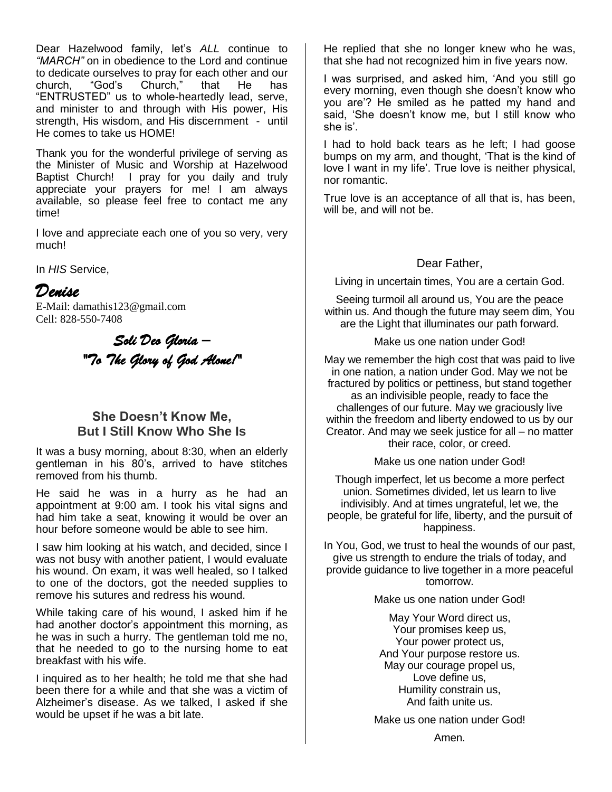Dear Hazelwood family, let's *ALL* continue to *"MARCH"* on in obedience to the Lord and continue to dedicate ourselves to pray for each other and our church. "God's Church." that He has church, "God's Church," that He has "ENTRUSTED" us to whole-heartedly lead, serve, and minister to and through with His power, His strength, His wisdom, and His discernment - until He comes to take us HOME!

Thank you for the wonderful privilege of serving as the Minister of Music and Worship at Hazelwood Baptist Church! I pray for you daily and truly appreciate your prayers for me! I am always available, so please feel free to contact me any time!

I love and appreciate each one of you so very, very much!

In *HIS* Service,

# *Denise*

E-Mail: damathis123@gmail.com Cell: 828-550-7408

*Soli Deo Gloria – "To The Glory of God Alone!"* 

## **She Doesn't Know Me, But I Still Know Who She Is**

It was a busy morning, about 8:30, when an elderly gentleman in his 80's, arrived to have stitches removed from his thumb.

He said he was in a hurry as he had an appointment at 9:00 am. I took his vital signs and had him take a seat, knowing it would be over an hour before someone would be able to see him.

I saw him looking at his watch, and decided, since I was not busy with another patient, I would evaluate his wound. On exam, it was well healed, so I talked to one of the doctors, got the needed supplies to remove his sutures and redress his wound.

While taking care of his wound, I asked him if he had another doctor's appointment this morning, as he was in such a hurry. The gentleman told me no, that he needed to go to the nursing home to eat breakfast with his wife.

I inquired as to her health; he told me that she had been there for a while and that she was a victim of Alzheimer's disease. As we talked, I asked if she would be upset if he was a bit late.

He replied that she no longer knew who he was, that she had not recognized him in five years now.

I was surprised, and asked him, 'And you still go every morning, even though she doesn't know who you are'? He smiled as he patted my hand and said, 'She doesn't know me, but I still know who she is'.

I had to hold back tears as he left; I had goose bumps on my arm, and thought, 'That is the kind of love I want in my life'. True love is neither physical, nor romantic.

True love is an acceptance of all that is, has been, will be, and will not be.

### Dear Father,

Living in uncertain times, You are a certain God.

Seeing turmoil all around us, You are the peace within us. And though the future may seem dim, You are the Light that illuminates our path forward.

Make us one nation under God!

May we remember the high cost that was paid to live in one nation, a nation under God. May we not be fractured by politics or pettiness, but stand together as an indivisible people, ready to face the challenges of our future. May we graciously live within the freedom and liberty endowed to us by our Creator. And may we seek justice for all – no matter their race, color, or creed.

Make us one nation under God!

Though imperfect, let us become a more perfect union. Sometimes divided, let us learn to live indivisibly. And at times ungrateful, let we, the people, be grateful for life, liberty, and the pursuit of happiness.

In You, God, we trust to heal the wounds of our past, give us strength to endure the trials of today, and provide guidance to live together in a more peaceful tomorrow.

Make us one nation under God!

May Your Word direct us, Your promises keep us, Your power protect us, And Your purpose restore us. May our courage propel us, Love define us, Humility constrain us, And faith unite us.

Make us one nation under God!

Amen.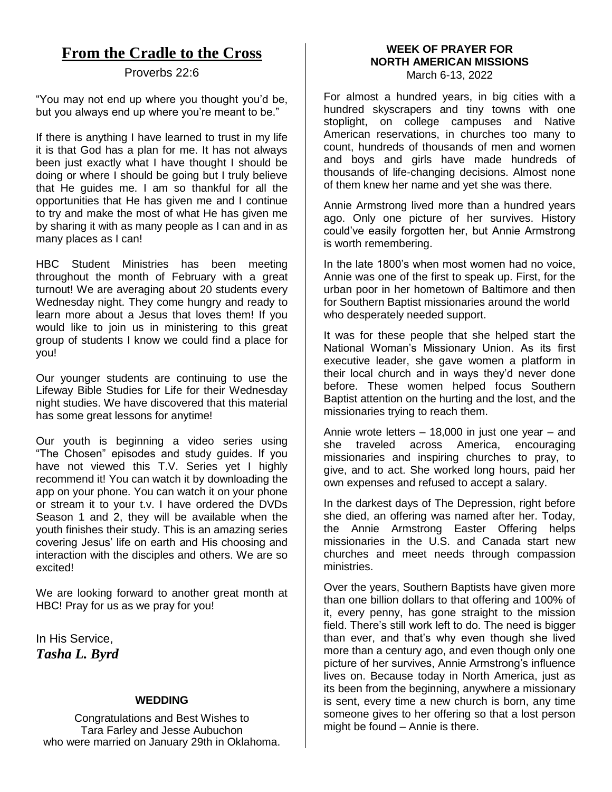# **From the Cradle to the Cross**

## Proverbs 22:6

"You may not end up where you thought you'd be, but you always end up where you're meant to be."

If there is anything I have learned to trust in my life it is that God has a plan for me. It has not always been just exactly what I have thought I should be doing or where I should be going but I truly believe that He guides me. I am so thankful for all the opportunities that He has given me and I continue to try and make the most of what He has given me by sharing it with as many people as I can and in as many places as I can!

HBC Student Ministries has been meeting throughout the month of February with a great turnout! We are averaging about 20 students every Wednesday night. They come hungry and ready to learn more about a Jesus that loves them! If you would like to join us in ministering to this great group of students I know we could find a place for you!

Our younger students are continuing to use the Lifeway Bible Studies for Life for their Wednesday night studies. We have discovered that this material has some great lessons for anytime!

Our youth is beginning a video series using "The Chosen" episodes and study guides. If you have not viewed this T.V. Series yet I highly recommend it! You can watch it by downloading the app on your phone. You can watch it on your phone or stream it to your t.v. I have ordered the DVDs Season 1 and 2, they will be available when the youth finishes their study. This is an amazing series covering Jesus' life on earth and His choosing and interaction with the disciples and others. We are so excited!

We are looking forward to another great month at HBC! Pray for us as we pray for you!

In His Service, *Tasha L. Byrd*

### **WEDDING**

Congratulations and Best Wishes to Tara Farley and Jesse Aubuchon who were married on January 29th in Oklahoma.

#### **WEEK OF PRAYER FOR NORTH AMERICAN MISSIONS** March 6-13, 2022

For almost a hundred years, in big cities with a hundred skyscrapers and tiny towns with one stoplight, on college campuses and Native American reservations, in churches too many to count, hundreds of thousands of men and women and boys and girls have made hundreds of thousands of life-changing decisions. Almost none of them knew her name and yet she was there.

Annie Armstrong lived more than a hundred years ago. Only one picture of her survives. History could've easily forgotten her, but Annie Armstrong is worth remembering.

In the late 1800's when most women had no voice, Annie was one of the first to speak up. First, for the urban poor in her hometown of Baltimore and then for Southern Baptist missionaries around the world who desperately needed support.

It was for these people that she helped start the National Woman's Missionary Union. As its first executive leader, she gave women a platform in their local church and in ways they'd never done before. These women helped focus Southern Baptist attention on the hurting and the lost, and the missionaries trying to reach them.

Annie wrote letters – 18,000 in just one year – and she traveled across America, encouraging missionaries and inspiring churches to pray, to give, and to act. She worked long hours, paid her own expenses and refused to accept a salary.

In the darkest days of The Depression, right before she died, an offering was named after her. Today, the Annie Armstrong Easter Offering helps missionaries in the U.S. and Canada start new churches and meet needs through compassion ministries.

Over the years, Southern Baptists have given more than one billion dollars to that offering and 100% of it, every penny, has gone straight to the mission field. There's still work left to do. The need is bigger than ever, and that's why even though she lived more than a century ago, and even though only one picture of her survives, Annie Armstrong's influence lives on. Because today in North America, just as its been from the beginning, anywhere a missionary is sent, every time a new church is born, any time someone gives to her offering so that a lost person might be found – Annie is there.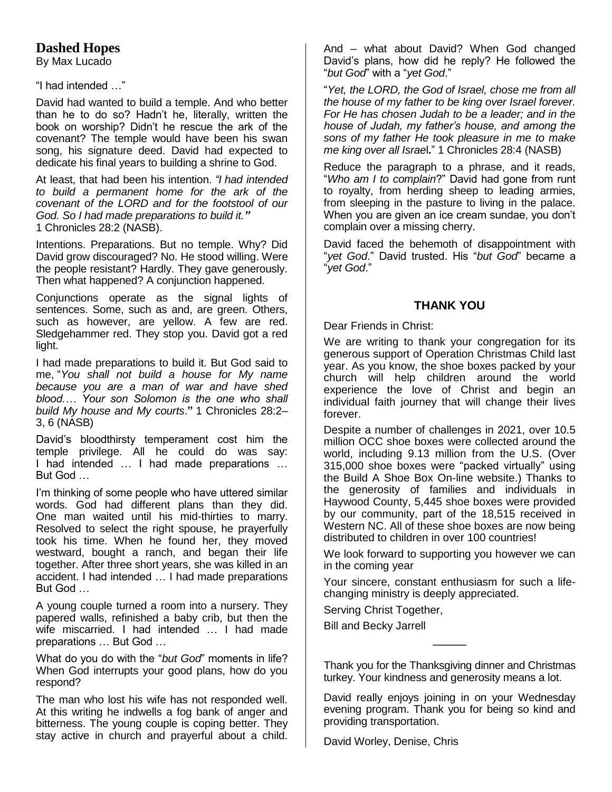## **Dashed Hopes**

By Max Lucado

"I had intended …"

David had wanted to build a temple. And who better than he to do so? Hadn't he, literally, written the book on worship? Didn't he rescue the ark of the covenant? The temple would have been his swan song, his signature deed. David had expected to dedicate his final years to building a shrine to God.

At least, that had been his intention. *"I had intended to build a permanent home for the ark of the covenant of the LORD and for the footstool of our God. So I had made preparations to build it."* 1 Chronicles 28:2 (NASB).

Intentions. Preparations. But no temple. Why? Did David grow discouraged? No. He stood willing. Were the people resistant? Hardly. They gave generously. Then what happened? A conjunction happened.

Conjunctions operate as the signal lights of sentences. Some, such as and, are green. Others, such as however, are yellow. A few are red. Sledgehammer red. They stop you. David got a red light.

I had made preparations to build it. But God said to me, "*You shall not build a house for My name because you are a man of war and have shed blood.… Your son Solomon is the one who shall build My house and My courts*.**"** 1 Chronicles 28:2– 3, 6 (NASB)

David's bloodthirsty temperament cost him the temple privilege. All he could do was say: I had intended … I had made preparations … But God …

I'm thinking of some people who have uttered similar words. God had different plans than they did. One man waited until his mid-thirties to marry. Resolved to select the right spouse, he prayerfully took his time. When he found her, they moved westward, bought a ranch, and began their life together. After three short years, she was killed in an accident. I had intended … I had made preparations But God …

A young couple turned a room into a nursery. They papered walls, refinished a baby crib, but then the wife miscarried. I had intended … I had made preparations … But God …

What do you do with the "*but God*" moments in life? When God interrupts your good plans, how do you respond?

The man who lost his wife has not responded well. At this writing he indwells a fog bank of anger and bitterness. The young couple is coping better. They stay active in church and prayerful about a child.

And – what about David? When God changed David's plans, how did he reply? He followed the "*but God*" with a "*yet God*."

"*Yet, the LORD, the God of Israel, chose me from all the house of my father to be king over Israel forever. For He has chosen Judah to be a leader; and in the house of Judah, my father's house, and among the sons of my father He took pleasure in me to make me king over all Israe*l**.**" 1 Chronicles 28:4 (NASB)

Reduce the paragraph to a phrase, and it reads, "*Who am I to complain*?" David had gone from runt to royalty, from herding sheep to leading armies, from sleeping in the pasture to living in the palace. When you are given an ice cream sundae, you don't complain over a missing cherry.

David faced the behemoth of disappointment with "*yet God*." David trusted. His "*but God*" became a "*yet God*."

## **THANK YOU**

Dear Friends in Christ:

We are writing to thank your congregation for its generous support of Operation Christmas Child last year. As you know, the shoe boxes packed by your church will help children around the world experience the love of Christ and begin an individual faith journey that will change their lives forever.

Despite a number of challenges in 2021, over 10.5 million OCC shoe boxes were collected around the world, including 9.13 million from the U.S. (Over 315,000 shoe boxes were "packed virtually" using the Build A Shoe Box On-line website.) Thanks to the generosity of families and individuals in Haywood County, 5,445 shoe boxes were provided by our community, part of the 18,515 received in Western NC. All of these shoe boxes are now being distributed to children in over 100 countries!

We look forward to supporting you however we can in the coming year

Your sincere, constant enthusiasm for such a lifechanging ministry is deeply appreciated.

Serving Christ Together,

Bill and Becky Jarrell

Thank you for the Thanksgiving dinner and Christmas turkey. Your kindness and generosity means a lot.

 $\overline{\phantom{a}}$ 

David really enjoys joining in on your Wednesday evening program. Thank you for being so kind and providing transportation.

David Worley, Denise, Chris